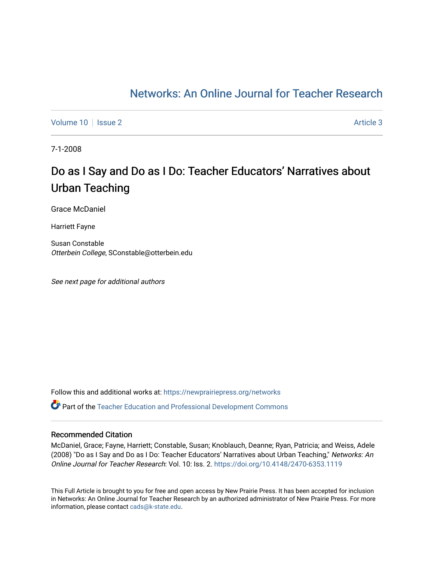# [Networks: An Online Journal for Teacher Research](https://newprairiepress.org/networks)

[Volume 10](https://newprairiepress.org/networks/vol10) | [Issue 2](https://newprairiepress.org/networks/vol10/iss2) Article 3

7-1-2008

# Do as I Say and Do as I Do: Teacher Educators' Narratives about Urban Teaching

Grace McDaniel

Harriett Fayne

Susan Constable Otterbein College, SConstable@otterbein.edu

See next page for additional authors

Follow this and additional works at: [https://newprairiepress.org/networks](https://newprairiepress.org/networks?utm_source=newprairiepress.org%2Fnetworks%2Fvol10%2Fiss2%2F3&utm_medium=PDF&utm_campaign=PDFCoverPages) Part of the [Teacher Education and Professional Development Commons](http://network.bepress.com/hgg/discipline/803?utm_source=newprairiepress.org%2Fnetworks%2Fvol10%2Fiss2%2F3&utm_medium=PDF&utm_campaign=PDFCoverPages) 

#### Recommended Citation

McDaniel, Grace; Fayne, Harriett; Constable, Susan; Knoblauch, Deanne; Ryan, Patricia; and Weiss, Adele (2008) "Do as I Say and Do as I Do: Teacher Educators' Narratives about Urban Teaching," Networks: An Online Journal for Teacher Research: Vol. 10: Iss. 2.<https://doi.org/10.4148/2470-6353.1119>

This Full Article is brought to you for free and open access by New Prairie Press. It has been accepted for inclusion in Networks: An Online Journal for Teacher Research by an authorized administrator of New Prairie Press. For more information, please contact [cads@k-state.edu](mailto:cads@k-state.edu).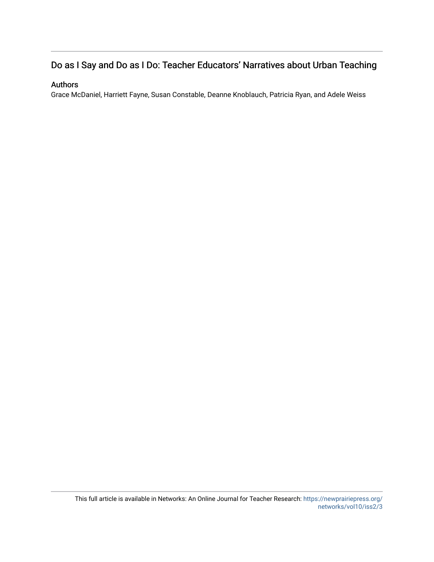# Do as I Say and Do as I Do: Teacher Educators' Narratives about Urban Teaching

#### Authors

Grace McDaniel, Harriett Fayne, Susan Constable, Deanne Knoblauch, Patricia Ryan, and Adele Weiss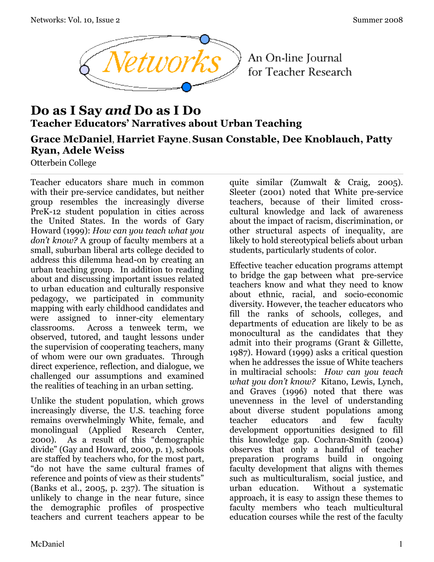

An On-line Journal for Teacher Research

# **Do as I Say** *and* **Do as I Do Teacher Educators' Narratives about Urban Teaching**

## **Grace McDaniel**, **Harriet Fayne**, **Susan Constable, Dee Knoblauch, Patty Ryan, Adele Weiss**

Otterbein College

Teacher educators share much in common with their pre-service candidates, but neither group resembles the increasingly diverse PreK-12 student population in cities across the United States. In the words of Gary Howard (1999): *How can you teach what you don't know?* A group of faculty members at a small, suburban liberal arts college decided to address this dilemma head-on by creating an urban teaching group. In addition to reading about and discussing important issues related to urban education and culturally responsive pedagogy, we participated in community mapping with early childhood candidates and were assigned to inner-city elementary classrooms. Across a tenweek term, we observed, tutored, and taught lessons under the supervision of cooperating teachers, many of whom were our own graduates. Through direct experience, reflection, and dialogue, we challenged our assumptions and examined the realities of teaching in an urban setting.

Unlike the student population, which grows increasingly diverse, the U.S. teaching force remains overwhelmingly White, female, and monolingual (Applied Research Center, 2000). As a result of this "demographic divide" (Gay and Howard, 2000, p. 1), schools are staffed by teachers who, for the most part, "do not have the same cultural frames of reference and points of view as their students" (Banks et al., 2005, p. 237). The situation is unlikely to change in the near future, since the demographic profiles of prospective teachers and current teachers appear to be

quite similar (Zumwalt & Craig, 2005). Sleeter (2001) noted that White pre-service teachers, because of their limited crosscultural knowledge and lack of awareness about the impact of racism, discrimination, or other structural aspects of inequality, are likely to hold stereotypical beliefs about urban students, particularly students of color.

Effective teacher education programs attempt to bridge the gap between what pre-service teachers know and what they need to know about ethnic, racial, and socio-economic diversity. However, the teacher educators who fill the ranks of schools, colleges, and departments of education are likely to be as monocultural as the candidates that they admit into their programs (Grant & Gillette, 1987). Howard (1999) asks a critical question when he addresses the issue of White teachers in multiracial schools: *How can you teach what you don't know?* Kitano, Lewis, Lynch, and Graves (1996) noted that there was unevenness in the level of understanding about diverse student populations among teacher educators and few faculty development opportunities designed to fill this knowledge gap. Cochran-Smith (2004) observes that only a handful of teacher preparation programs build in ongoing faculty development that aligns with themes such as multiculturalism, social justice, and urban education. Without a systematic approach, it is easy to assign these themes to faculty members who teach multicultural education courses while the rest of the faculty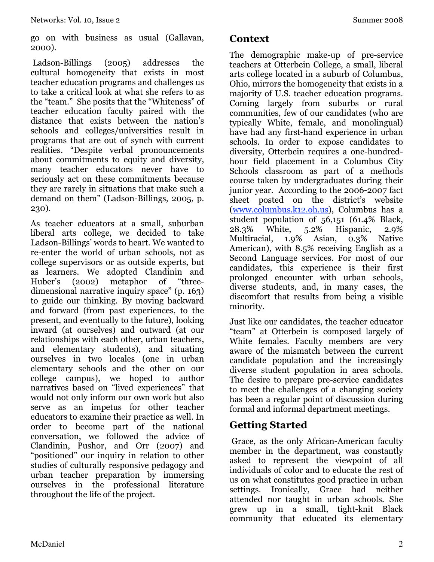go on with business as usual (Gallavan, 2000).

 Ladson-Billings (2005) addresses the cultural homogeneity that exists in most teacher education programs and challenges us to take a critical look at what she refers to as the "team." She posits that the "Whiteness" of teacher education faculty paired with the distance that exists between the nation's schools and colleges/universities result in programs that are out of synch with current realities. "Despite verbal pronouncements about commitments to equity and diversity, many teacher educators never have to seriously act on these commitments because they are rarely in situations that make such a demand on them" (Ladson-Billings, 2005, p. 230).

As teacher educators at a small, suburban liberal arts college, we decided to take Ladson-Billings' words to heart. We wanted to re-enter the world of urban schools, not as college supervisors or as outside experts, but as learners. We adopted Clandinin and Huber's (2002) metaphor of "threedimensional narrative inquiry space" (p. 163) to guide our thinking. By moving backward and forward (from past experiences, to the present, and eventually to the future), looking inward (at ourselves) and outward (at our relationships with each other, urban teachers, and elementary students), and situating ourselves in two locales (one in urban elementary schools and the other on our college campus), we hoped to author narratives based on "lived experiences" that would not only inform our own work but also serve as an impetus for other teacher educators to examine their practice as well. In order to become part of the national conversation, we followed the advice of Clandinin, Pushor, and Orr (2007) and "positioned" our inquiry in relation to other studies of culturally responsive pedagogy and urban teacher preparation by immersing ourselves in the professional literature throughout the life of the project.

### **Context**

The demographic make-up of pre-service teachers at Otterbein College, a small, liberal arts college located in a suburb of Columbus, Ohio, mirrors the homogeneity that exists in a majority of U.S. teacher education programs. Coming largely from suburbs or rural communities, few of our candidates (who are typically White, female, and monolingual) have had any first-hand experience in urban schools. In order to expose candidates to diversity, Otterbein requires a one-hundredhour field placement in a Columbus City Schools classroom as part of a methods course taken by undergraduates during their junior year. According to the 2006-2007 fact sheet posted on the district's website (www.columbus.k12.oh.us), Columbus has a student population of 56,151 (61.4% Black, 28.3% White, 5.2% Hispanic, 2.9% Multiracial, 1.9% Asian, 0.3% Native American), with 8.5% receiving English as a Second Language services. For most of our candidates, this experience is their first prolonged encounter with urban schools, diverse students, and, in many cases, the discomfort that results from being a visible minority.

Just like our candidates, the teacher educator "team" at Otterbein is composed largely of White females. Faculty members are very aware of the mismatch between the current candidate population and the increasingly diverse student population in area schools. The desire to prepare pre-service candidates to meet the challenges of a changing society has been a regular point of discussion during formal and informal department meetings.

# **Getting Started**

 Grace, as the only African-American faculty member in the department, was constantly asked to represent the viewpoint of all individuals of color and to educate the rest of us on what constitutes good practice in urban settings. Ironically, Grace had neither attended nor taught in urban schools. She grew up in a small, tight-knit Black community that educated its elementary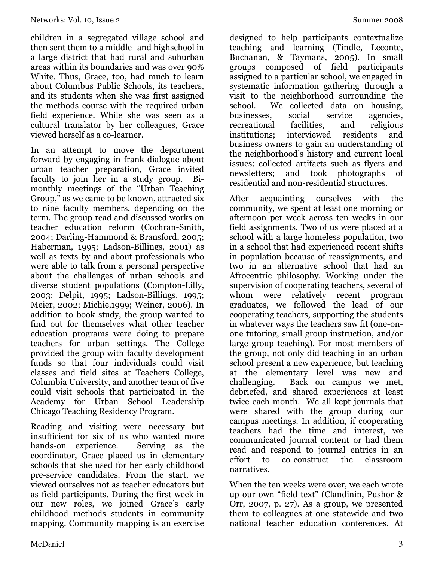children in a segregated village school and then sent them to a middle- and highschool in a large district that had rural and suburban areas within its boundaries and was over 90% White. Thus, Grace, too, had much to learn about Columbus Public Schools, its teachers, and its students when she was first assigned the methods course with the required urban field experience. While she was seen as a cultural translator by her colleagues, Grace viewed herself as a co-learner.

In an attempt to move the department forward by engaging in frank dialogue about urban teacher preparation, Grace invited faculty to join her in a study group. Bimonthly meetings of the "Urban Teaching Group," as we came to be known, attracted six to nine faculty members, depending on the term. The group read and discussed works on teacher education reform (Cochran-Smith, 2004; Darling-Hammond & Bransford, 2005; Haberman, 1995; Ladson-Billings, 2001) as well as texts by and about professionals who were able to talk from a personal perspective about the challenges of urban schools and diverse student populations (Compton-Lilly, 2003; Delpit, 1995; Ladson-Billings, 1995; Meier, 2002; Michie,1999; Weiner, 2006). In addition to book study, the group wanted to find out for themselves what other teacher education programs were doing to prepare teachers for urban settings. The College provided the group with faculty development funds so that four individuals could visit classes and field sites at Teachers College, Columbia University, and another team of five could visit schools that participated in the Academy for Urban School Leadership Chicago Teaching Residency Program.

Reading and visiting were necessary but insufficient for six of us who wanted more hands-on experience. Serving as the coordinator, Grace placed us in elementary schools that she used for her early childhood pre-service candidates. From the start, we viewed ourselves not as teacher educators but as field participants. During the first week in our new roles, we joined Grace's early childhood methods students in community mapping. Community mapping is an exercise

designed to help participants contextualize teaching and learning (Tindle, Leconte, Buchanan, & Taymans, 2005). In small groups composed of field participants assigned to a particular school, we engaged in systematic information gathering through a visit to the neighborhood surrounding the school. We collected data on housing, businesses, social service agencies, recreational facilities, and religious institutions; interviewed residents and business owners to gain an understanding of the neighborhood's history and current local issues; collected artifacts such as flyers and newsletters; and took photographs of residential and non-residential structures.

After acquainting ourselves with the community, we spent at least one morning or afternoon per week across ten weeks in our field assignments. Two of us were placed at a school with a large homeless population, two in a school that had experienced recent shifts in population because of reassignments, and two in an alternative school that had an Afrocentric philosophy. Working under the supervision of cooperating teachers, several of whom were relatively recent program graduates, we followed the lead of our cooperating teachers, supporting the students in whatever ways the teachers saw fit (one-onone tutoring, small group instruction, and/or large group teaching). For most members of the group, not only did teaching in an urban school present a new experience, but teaching at the elementary level was new and challenging. Back on campus we met, debriefed, and shared experiences at least twice each month. We all kept journals that were shared with the group during our campus meetings. In addition, if cooperating teachers had the time and interest, we communicated journal content or had them read and respond to journal entries in an effort to co-construct the classroom narratives.

When the ten weeks were over, we each wrote up our own "field text" (Clandinin, Pushor & Orr, 2007, p. 27). As a group, we presented them to colleagues at one statewide and two national teacher education conferences. At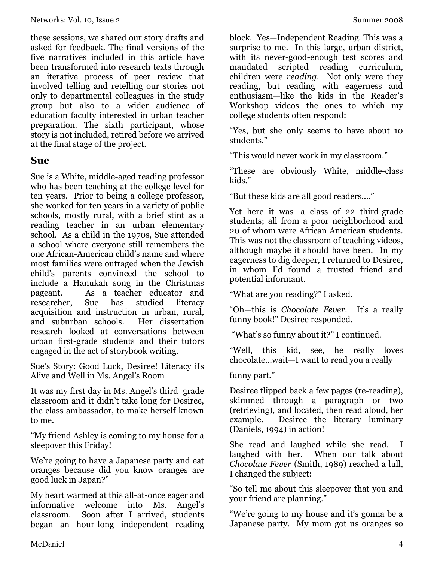these sessions, we shared our story drafts and asked for feedback. The final versions of the five narratives included in this article have been transformed into research texts through an iterative process of peer review that involved telling and retelling our stories not only to departmental colleagues in the study group but also to a wider audience of education faculty interested in urban teacher preparation. The sixth participant, whose story is not included, retired before we arrived at the final stage of the project.

### **Sue**

Sue is a White, middle-aged reading professor who has been teaching at the college level for ten years. Prior to being a college professor, she worked for ten years in a variety of public schools, mostly rural, with a brief stint as a reading teacher in an urban elementary school. As a child in the 1970s, Sue attended a school where everyone still remembers the one African-American child's name and where most families were outraged when the Jewish child's parents convinced the school to include a Hanukah song in the Christmas pageant. As a teacher educator and researcher, Sue has studied literacy acquisition and instruction in urban, rural, and suburban schools. Her dissertation research looked at conversations between urban first-grade students and their tutors engaged in the act of storybook writing.

Sue's Story: Good Luck, Desiree! Literacy iIs Alive and Well in Ms. Angel's Room

It was my first day in Ms. Angel's third grade classroom and it didn't take long for Desiree, the class ambassador, to make herself known to me.

"My friend Ashley is coming to my house for a sleepover this Friday!

We're going to have a Japanese party and eat oranges because did you know oranges are good luck in Japan?"

My heart warmed at this all-at-once eager and informative welcome into Ms. Angel's classroom. Soon after I arrived, students began an hour-long independent reading

block. Yes—Independent Reading. This was a surprise to me. In this large, urban district, with its never-good-enough test scores and mandated scripted reading curriculum, children were *reading*. Not only were they reading, but reading with eagerness and enthusiasm—like the kids in the Reader's Workshop videos—the ones to which my college students often respond:

"Yes, but she only seems to have about 10 students."

"This would never work in my classroom."

"These are obviously White, middle-class kids."

"But these kids are all good readers…."

Yet here it was—a class of 22 third-grade students; all from a poor neighborhood and 20 of whom were African American students. This was not the classroom of teaching videos, although maybe it should have been. In my eagerness to dig deeper, I returned to Desiree, in whom I'd found a trusted friend and potential informant.

"What are you reading?" I asked.

"Oh—this is *Chocolate Fever.* It's a really funny book!" Desiree responded.

"What's so funny about it?" I continued.

"Well, this kid, see, he really loves chocolate…wait—I want to read you a really

#### funny part."

Desiree flipped back a few pages (re-reading), skimmed through a paragraph or two (retrieving), and located, then read aloud, her example. Desiree—the literary luminary (Daniels, 1994) in action!

She read and laughed while she read. I laughed with her. When our talk about *Chocolate Fever* (Smith, 1989) reached a lull, I changed the subject:

"So tell me about this sleepover that you and your friend are planning."

"We're going to my house and it's gonna be a Japanese party. My mom got us oranges so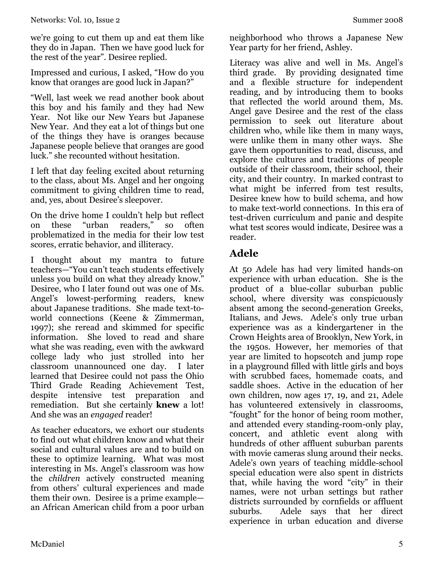we're going to cut them up and eat them like they do in Japan. Then we have good luck for the rest of the year". Desiree replied.

Impressed and curious, I asked, "How do you know that oranges are good luck in Japan?"

"Well, last week we read another book about this boy and his family and they had New Year. Not like our New Years but Japanese New Year. And they eat a lot of things but one of the things they have is oranges because Japanese people believe that oranges are good luck." she recounted without hesitation.

I left that day feeling excited about returning to the class, about Ms. Angel and her ongoing commitment to giving children time to read, and, yes, about Desiree's sleepover.

On the drive home I couldn't help but reflect on these "urban readers," so often problematized in the media for their low test scores, erratic behavior, and illiteracy.

I thought about my mantra to future teachers—"You can't teach students effectively unless you build on what they already know." Desiree, who I later found out was one of Ms. Angel's lowest-performing readers, knew about Japanese traditions. She made text-toworld connections (Keene & Zimmerman, 1997); she reread and skimmed for specific information. She loved to read and share what she was reading, even with the awkward college lady who just strolled into her classroom unannounced one day. I later learned that Desiree could not pass the Ohio Third Grade Reading Achievement Test, despite intensive test preparation and remediation. But she certainly **knew** a lot! And she was an *engaged* reader!

As teacher educators, we exhort our students to find out what children know and what their social and cultural values are and to build on these to optimize learning. What was most interesting in Ms. Angel's classroom was how the *children* actively constructed meaning from others' cultural experiences and made them their own. Desiree is a prime example an African American child from a poor urban

neighborhood who throws a Japanese New Year party for her friend, Ashley.

Literacy was alive and well in Ms. Angel's third grade. By providing designated time and a flexible structure for independent reading, and by introducing them to books that reflected the world around them, Ms. Angel gave Desiree and the rest of the class permission to seek out literature about children who, while like them in many ways, were unlike them in many other ways. She gave them opportunities to read, discuss, and explore the cultures and traditions of people outside of their classroom, their school, their city, and their country. In marked contrast to what might be inferred from test results, Desiree knew how to build schema, and how to make text-world connections. In this era of test-driven curriculum and panic and despite what test scores would indicate, Desiree was a reader.

# **Adele**

At 50 Adele has had very limited hands-on experience with urban education. She is the product of a blue-collar suburban public school, where diversity was conspicuously absent among the second-generation Greeks, Italians, and Jews. Adele's only true urban experience was as a kindergartener in the Crown Heights area of Brooklyn, New York, in the 1950s. However, her memories of that year are limited to hopscotch and jump rope in a playground filled with little girls and boys with scrubbed faces, homemade coats, and saddle shoes. Active in the education of her own children, now ages 17, 19, and 21, Adele has volunteered extensively in classrooms, "fought" for the honor of being room mother, and attended every standing-room-only play, concert, and athletic event along with hundreds of other affluent suburban parents with movie cameras slung around their necks. Adele's own years of teaching middle-school special education were also spent in districts that, while having the word "city" in their names, were not urban settings but rather districts surrounded by cornfields or affluent suburbs. Adele says that her direct experience in urban education and diverse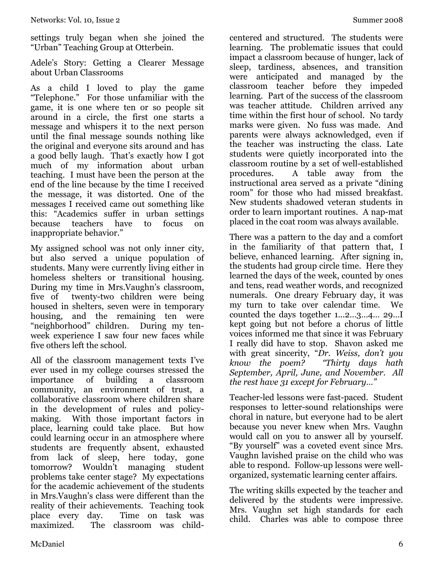settings truly began when she joined the "Urban" Teaching Group at Otterbein.

Adele's Story: Getting a Clearer Message about Urban Classrooms

As a child I loved to play the game "Telephone." For those unfamiliar with the game, it is one where ten or so people sit around in a circle, the first one starts a message and whispers it to the next person until the final message sounds nothing like the original and everyone sits around and has a good belly laugh. That's exactly how I got much of my information about urban teaching. I must have been the person at the end of the line because by the time I received the message, it was distorted. One of the messages I received came out something like this: "Academics suffer in urban settings because teachers have to focus on inappropriate behavior."

My assigned school was not only inner city, but also served a unique population of students. Many were currently living either in homeless shelters or transitional housing. During my time in Mrs.Vaughn's classroom, five of twenty-two children were being housed in shelters, seven were in temporary housing, and the remaining ten were "neighborhood" children. During my tenweek experience I saw four new faces while five others left the school.

All of the classroom management texts I've ever used in my college courses stressed the importance of building a classroom community, an environment of trust, a collaborative classroom where children share in the development of rules and policymaking. With those important factors in place, learning could take place. But how could learning occur in an atmosphere where students are frequently absent, exhausted from lack of sleep, here today, gone tomorrow? Wouldn't managing student problems take center stage? My expectations for the academic achievement of the students in Mrs.Vaughn's class were different than the reality of their achievements. Teaching took place every day. Time on task was maximized. The classroom was child-

centered and structured. The students were learning. The problematic issues that could impact a classroom because of hunger, lack of sleep, tardiness, absences, and transition were anticipated and managed by the classroom teacher before they impeded learning. Part of the success of the classroom was teacher attitude. Children arrived any time within the first hour of school. No tardy marks were given. No fuss was made. And parents were always acknowledged, even if the teacher was instructing the class. Late students were quietly incorporated into the classroom routine by a set of well-established procedures. A table away from the instructional area served as a private "dining room" for those who had missed breakfast. New students shadowed veteran students in order to learn important routines. A nap-mat placed in the coat room was always available.

There was a pattern to the day and a comfort in the familiarity of that pattern that, I believe, enhanced learning. After signing in, the students had group circle time. Here they learned the days of the week, counted by ones and tens, read weather words, and recognized numerals. One dreary February day, it was my turn to take over calendar time. We counted the days together 1...2…3…4… 29…I kept going but not before a chorus of little voices informed me that since it was February I really did have to stop. Shavon asked me with great sincerity, "*Dr. Weiss, don't you know the poem? September, April, June, and November. All the rest have 31 except for February…"*

Teacher-led lessons were fast-paced. Student responses to letter-sound relationships were choral in nature, but everyone had to be alert because you never knew when Mrs. Vaughn would call on you to answer all by yourself. "By yourself" was a coveted event since Mrs. Vaughn lavished praise on the child who was able to respond. Follow-up lessons were wellorganized, systematic learning center affairs.

The writing skills expected by the teacher and delivered by the students were impressive. Mrs. Vaughn set high standards for each child. Charles was able to compose three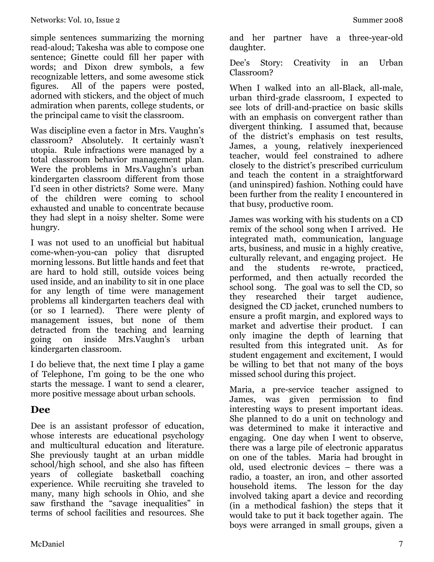simple sentences summarizing the morning read-aloud; Takesha was able to compose one sentence; Ginette could fill her paper with words; and Dixon drew symbols, a few recognizable letters, and some awesome stick figures. All of the papers were posted, adorned with stickers, and the object of much admiration when parents, college students, or the principal came to visit the classroom.

Was discipline even a factor in Mrs. Vaughn's classroom? Absolutely. It certainly wasn't utopia. Rule infractions were managed by a total classroom behavior management plan. Were the problems in Mrs.Vaughn's urban kindergarten classroom different from those I'd seen in other districts? Some were. Many of the children were coming to school exhausted and unable to concentrate because they had slept in a noisy shelter. Some were hungry.

I was not used to an unofficial but habitual come-when-you-can policy that disrupted morning lessons. But little hands and feet that are hard to hold still, outside voices being used inside, and an inability to sit in one place for any length of time were management problems all kindergarten teachers deal with (or so I learned). There were plenty of management issues, but none of them detracted from the teaching and learning going on inside Mrs.Vaughn's urban kindergarten classroom.

I do believe that, the next time I play a game of Telephone, I'm going to be the one who starts the message. I want to send a clearer, more positive message about urban schools.

# **Dee**

Dee is an assistant professor of education, whose interests are educational psychology and multicultural education and literature. She previously taught at an urban middle school/high school, and she also has fifteen years of collegiate basketball coaching experience. While recruiting she traveled to many, many high schools in Ohio, and she saw firsthand the "savage inequalities" in terms of school facilities and resources. She

and her partner have a three-year-old daughter.

Dee's Story: Creativity in an Urban Classroom?

When I walked into an all-Black, all-male, urban third-grade classroom, I expected to see lots of drill-and-practice on basic skills with an emphasis on convergent rather than divergent thinking. I assumed that, because of the district's emphasis on test results, James, a young, relatively inexperienced teacher, would feel constrained to adhere closely to the district's prescribed curriculum and teach the content in a straightforward (and uninspired) fashion. Nothing could have been further from the reality I encountered in that busy, productive room.

James was working with his students on a CD remix of the school song when I arrived. He integrated math, communication, language arts, business, and music in a highly creative, culturally relevant, and engaging project. He and the students re-wrote, practiced, performed, and then actually recorded the school song. The goal was to sell the CD, so they researched their target audience, designed the CD jacket, crunched numbers to ensure a profit margin, and explored ways to market and advertise their product. I can only imagine the depth of learning that resulted from this integrated unit. As for student engagement and excitement, I would be willing to bet that not many of the boys missed school during this project.

Maria, a pre-service teacher assigned to James, was given permission to find interesting ways to present important ideas. She planned to do a unit on technology and was determined to make it interactive and engaging. One day when I went to observe, there was a large pile of electronic apparatus on one of the tables. Maria had brought in old, used electronic devices – there was a radio, a toaster, an iron, and other assorted household items. The lesson for the day involved taking apart a device and recording (in a methodical fashion) the steps that it would take to put it back together again. The boys were arranged in small groups, given a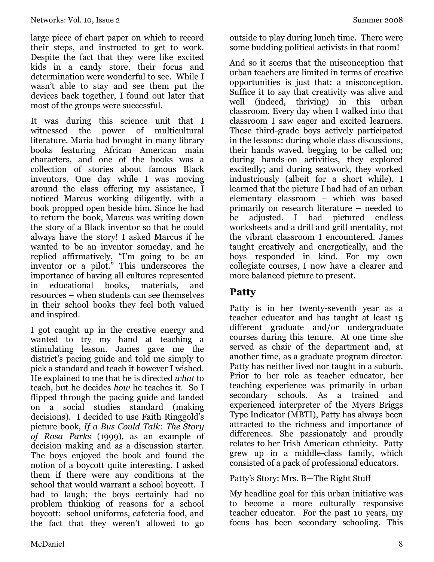large piece of chart paper on which to record their steps, and instructed to get to work. Despite the fact that they were like excited kids in a candy store, their focus and determination were wonderful to see. While I wasn't able to stay and see them put the devices back together, I found out later that most of the groups were successful.

It was during this science unit that I witnessed the power of multicultural literature. Maria had brought in many library books featuring African American main characters, and one of the books was a collection of stories about famous Black inventors. One day while I was moving around the class offering my assistance, I noticed Marcus working diligently, with a book propped open beside him. Since he had to return the book, Marcus was writing down the story of a Black inventor so that he could always have the story! I asked Marcus if he wanted to be an inventor someday, and he replied affirmatively, "I'm going to be an inventor or a pilot." This underscores the importance of having all cultures represented in educational books, materials, and resources – when students can see themselves in their school books they feel both valued and inspired.

I got caught up in the creative energy and wanted to try my hand at teaching a stimulating lesson. James gave me the district's pacing guide and told me simply to pick a standard and teach it however I wished. He explained to me that he is directed *what* to teach, but he decides *how* he teaches it. So I flipped through the pacing guide and landed on a social studies standard (making decisions). I decided to use Faith Ringgold's picture book, *If a Bus Could Talk: The Story of Rosa Parks* (1999)*,* as an example of decision making and as a discussion starter. The boys enjoyed the book and found the notion of a boycott quite interesting. I asked them if there were any conditions at the school that would warrant a school boycott. I had to laugh; the boys certainly had no problem thinking of reasons for a school boycott: school uniforms, cafeteria food, and the fact that they weren't allowed to go

outside to play during lunch time. There were some budding political activists in that room!

And so it seems that the misconception that urban teachers are limited in terms of creative opportunities is just that: a misconception. Suffice it to say that creativity was alive and well (indeed, thriving) in this urban classroom. Every day when I walked into that classroom I saw eager and excited learners. These third-grade boys actively participated in the lessons: during whole class discussions, their hands waved, begging to be called on; during hands-on activities, they explored excitedly; and during seatwork, they worked industriously (albeit for a short while). I learned that the picture I had had of an urban elementary classroom – which was based primarily on research literature – needed to be adjusted. I had pictured endless worksheets and a drill and grill mentality, not the vibrant classroom I encountered. James taught creatively and energetically, and the boys responded in kind. For my own collegiate courses, I now have a clearer and more balanced picture to present.

# **Patty**

Patty is in her twenty-seventh year as a teacher educator and has taught at least 15 different graduate and/or undergraduate courses during this tenure. At one time she served as chair of the department and, at another time, as a graduate program director. Patty has neither lived nor taught in a suburb. Prior to her role as teacher educator, her teaching experience was primarily in urban secondary schools. As a trained and experienced interpreter of the Myers Briggs Type Indicator (MBTI), Patty has always been attracted to the richness and importance of differences. She passionately and proudly relates to her Irish American ethnicity. Patty grew up in a middle-class family, which consisted of a pack of professional educators.

#### Patty's Story: Mrs. B—The Right Stuff

My headline goal for this urban initiative was to become a more culturally responsive teacher educator. For the past 10 years, my focus has been secondary schooling. This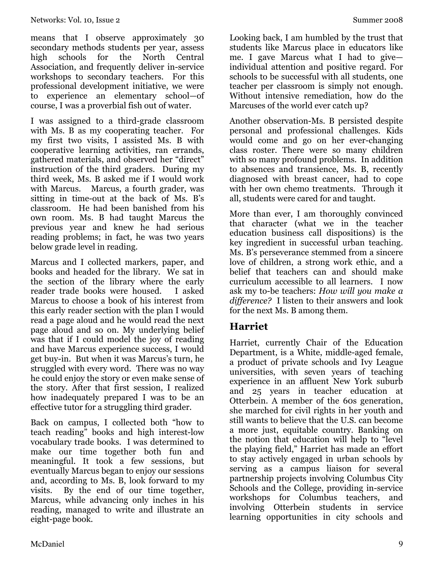means that I observe approximately 30 secondary methods students per year, assess high schools for the North Central Association, and frequently deliver in-service workshops to secondary teachers. For this professional development initiative, we were to experience an elementary school—of course, I was a proverbial fish out of water.

I was assigned to a third-grade classroom with Ms. B as my cooperating teacher. For my first two visits, I assisted Ms. B with cooperative learning activities, ran errands, gathered materials, and observed her "direct" instruction of the third graders. During my third week, Ms. B asked me if I would work with Marcus. Marcus, a fourth grader, was sitting in time-out at the back of Ms. B's classroom. He had been banished from his own room. Ms. B had taught Marcus the previous year and knew he had serious reading problems; in fact, he was two years below grade level in reading.

Marcus and I collected markers, paper, and books and headed for the library. We sat in the section of the library where the early reader trade books were housed. I asked Marcus to choose a book of his interest from this early reader section with the plan I would read a page aloud and he would read the next page aloud and so on. My underlying belief was that if I could model the joy of reading and have Marcus experience success, I would get buy-in. But when it was Marcus's turn, he struggled with every word. There was no way he could enjoy the story or even make sense of the story. After that first session, I realized how inadequately prepared I was to be an effective tutor for a struggling third grader.

Back on campus, I collected both "how to teach reading" books and high interest-low vocabulary trade books. I was determined to make our time together both fun and meaningful. It took a few sessions, but eventually Marcus began to enjoy our sessions and, according to Ms. B, look forward to my visits. By the end of our time together, Marcus, while advancing only inches in his reading, managed to write and illustrate an eight-page book.

Looking back, I am humbled by the trust that students like Marcus place in educators like me. I gave Marcus what I had to give individual attention and positive regard. For schools to be successful with all students, one teacher per classroom is simply not enough. Without intensive remediation, how do the Marcuses of the world ever catch up?

Another observation-Ms. B persisted despite personal and professional challenges. Kids would come and go on her ever-changing class roster. There were so many children with so many profound problems. In addition to absences and transience, Ms. B, recently diagnosed with breast cancer, had to cope with her own chemo treatments. Through it all, students were cared for and taught.

More than ever, I am thoroughly convinced that character (what we in the teacher education business call dispositions) is the key ingredient in successful urban teaching. Ms. B's perseverance stemmed from a sincere love of children, a strong work ethic, and a belief that teachers can and should make curriculum accessible to all learners. I now ask my to-be teachers: *How will you make a difference?* I listen to their answers and look for the next Ms. B among them.

# **Harriet**

Harriet, currently Chair of the Education Department, is a White, middle-aged female, a product of private schools and Ivy League universities, with seven years of teaching experience in an affluent New York suburb and 25 years in teacher education at Otterbein. A member of the 60s generation, she marched for civil rights in her youth and still wants to believe that the U.S. can become a more just, equitable country. Banking on the notion that education will help to "level the playing field," Harriet has made an effort to stay actively engaged in urban schools by serving as a campus liaison for several partnership projects involving Columbus City Schools and the College, providing in-service workshops for Columbus teachers, and involving Otterbein students in service learning opportunities in city schools and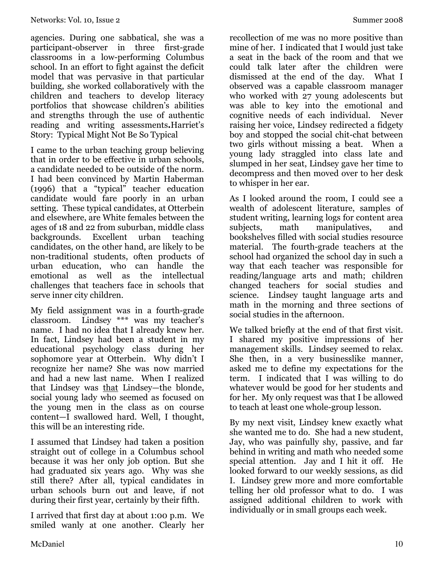agencies. During one sabbatical, she was a participant-observer in three first-grade classrooms in a low-performing Columbus school. In an effort to fight against the deficit model that was pervasive in that particular building, she worked collaboratively with the children and teachers to develop literacy portfolios that showcase children's abilities and strengths through the use of authentic reading and writing assessments**.**Harriet's Story: Typical Might Not Be So Typical

I came to the urban teaching group believing that in order to be effective in urban schools, a candidate needed to be outside of the norm. I had been convinced by Martin Haberman (1996) that a "typical" teacher education candidate would fare poorly in an urban setting. These typical candidates, at Otterbein and elsewhere, are White females between the ages of 18 and 22 from suburban, middle class backgrounds. Excellent urban teaching candidates, on the other hand, are likely to be non-traditional students, often products of urban education, who can handle the emotional as well as the intellectual challenges that teachers face in schools that serve inner city children.

My field assignment was in a fourth-grade classroom. Lindsey \*\*\* was my teacher's name. I had no idea that I already knew her. In fact, Lindsey had been a student in my educational psychology class during her sophomore year at Otterbein. Why didn't I recognize her name? She was now married and had a new last name. When I realized that Lindsey was that Lindsey—the blonde, social young lady who seemed as focused on the young men in the class as on course content—I swallowed hard. Well, I thought, this will be an interesting ride.

I assumed that Lindsey had taken a position straight out of college in a Columbus school because it was her only job option. But she had graduated six years ago. Why was she still there? After all, typical candidates in urban schools burn out and leave, if not during their first year, certainly by their fifth.

I arrived that first day at about 1:00 p.m. We smiled wanly at one another. Clearly her

recollection of me was no more positive than mine of her. I indicated that I would just take a seat in the back of the room and that we could talk later after the children were dismissed at the end of the day. What I observed was a capable classroom manager who worked with 27 young adolescents but was able to key into the emotional and cognitive needs of each individual. Never raising her voice, Lindsey redirected a fidgety boy and stopped the social chit-chat between two girls without missing a beat. When a young lady straggled into class late and slumped in her seat, Lindsey gave her time to decompress and then moved over to her desk to whisper in her ear.

As I looked around the room, I could see a wealth of adolescent literature, samples of student writing, learning logs for content area subjects, math manipulatives, and bookshelves filled with social studies resource material. The fourth-grade teachers at the school had organized the school day in such a way that each teacher was responsible for reading/language arts and math; children changed teachers for social studies and science. Lindsey taught language arts and math in the morning and three sections of social studies in the afternoon.

We talked briefly at the end of that first visit. I shared my positive impressions of her management skills. Lindsey seemed to relax. She then, in a very businesslike manner, asked me to define my expectations for the term. I indicated that I was willing to do whatever would be good for her students and for her. My only request was that I be allowed to teach at least one whole-group lesson.

By my next visit, Lindsey knew exactly what she wanted me to do. She had a new student, Jay, who was painfully shy, passive, and far behind in writing and math who needed some special attention. Jay and I hit it off. He looked forward to our weekly sessions, as did I. Lindsey grew more and more comfortable telling her old professor what to do. I was assigned additional children to work with individually or in small groups each week.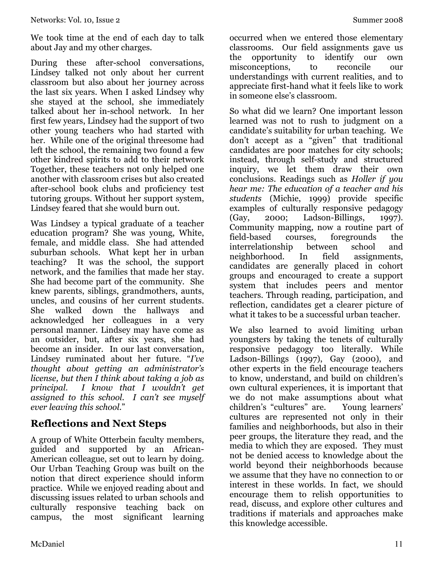We took time at the end of each day to talk about Jay and my other charges.

During these after-school conversations, Lindsey talked not only about her current classroom but also about her journey across the last six years. When I asked Lindsey why she stayed at the school, she immediately talked about her in-school network. In her first few years, Lindsey had the support of two other young teachers who had started with her. While one of the original threesome had left the school, the remaining two found a few other kindred spirits to add to their network Together, these teachers not only helped one another with classroom crises but also created after-school book clubs and proficiency test tutoring groups. Without her support system, Lindsey feared that she would burn out.

Was Lindsey a typical graduate of a teacher education program? She was young, White, female, and middle class. She had attended suburban schools. What kept her in urban teaching? It was the school, the support network, and the families that made her stay. She had become part of the community. She knew parents, siblings, grandmothers, aunts, uncles, and cousins of her current students. She walked down the hallways and acknowledged her colleagues in a very personal manner. Lindsey may have come as an outsider, but, after six years, she had become an insider. In our last conversation, Lindsey ruminated about her future. "*I've thought about getting an administrator's license, but then I think about taking a job as principal. I know that I wouldn't get assigned to this school. I can't see myself ever leaving this school.*"

# **Reflections and Next Steps**

A group of White Otterbein faculty members, guided and supported by an African-American colleague, set out to learn by doing. Our Urban Teaching Group was built on the notion that direct experience should inform practice. While we enjoyed reading about and discussing issues related to urban schools and culturally responsive teaching back on campus, the most significant learning

occurred when we entered those elementary classrooms. Our field assignments gave us the opportunity to identify our own misconceptions, to reconcile our understandings with current realities, and to appreciate first-hand what it feels like to work in someone else's classroom.

So what did we learn? One important lesson learned was not to rush to judgment on a candidate's suitability for urban teaching. We don't accept as a "given" that traditional candidates are poor matches for city schools; instead, through self-study and structured inquiry, we let them draw their own conclusions. Readings such as *Holler if you hear me: The education of a teacher and his students* (Michie, 1999) provide specific examples of culturally responsive pedagogy (Gay, 2000; Ladson-Billings, 1997). Community mapping, now a routine part of field-based courses, foregrounds the interrelationship between school and neighborhood. In field assignments, candidates are generally placed in cohort groups and encouraged to create a support system that includes peers and mentor teachers. Through reading, participation, and reflection, candidates get a clearer picture of what it takes to be a successful urban teacher.

We also learned to avoid limiting urban youngsters by taking the tenets of culturally responsive pedagogy too literally. While Ladson-Billings (1997), Gay (2000), and other experts in the field encourage teachers to know, understand, and build on children's own cultural experiences, it is important that we do not make assumptions about what children's "cultures" are. Young learners' cultures are represented not only in their families and neighborhoods, but also in their peer groups, the literature they read, and the media to which they are exposed. They must not be denied access to knowledge about the world beyond their neighborhoods because we assume that they have no connection to or interest in these worlds. In fact, we should encourage them to relish opportunities to read, discuss, and explore other cultures and traditions if materials and approaches make this knowledge accessible.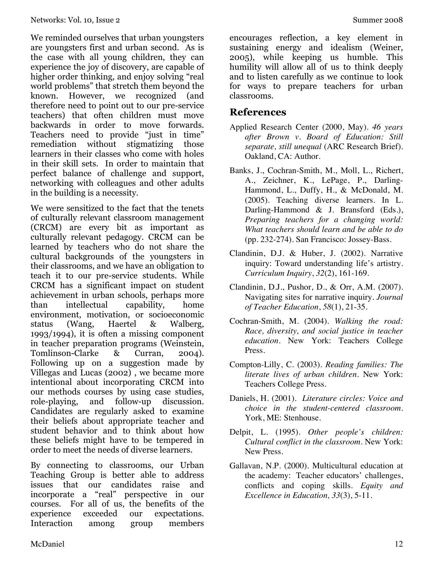We reminded ourselves that urban youngsters are youngsters first and urban second. As is the case with all young children, they can experience the joy of discovery, are capable of higher order thinking, and enjoy solving "real world problems" that stretch them beyond the known. However, we recognized (and therefore need to point out to our pre-service teachers) that often children must move backwards in order to move forwards. Teachers need to provide "just in time" remediation without stigmatizing those learners in their classes who come with holes in their skill sets. In order to maintain that perfect balance of challenge and support, networking with colleagues and other adults in the building is a necessity.

We were sensitized to the fact that the tenets of culturally relevant classroom management (CRCM) are every bit as important as culturally relevant pedagogy. CRCM can be learned by teachers who do not share the cultural backgrounds of the youngsters in their classrooms, and we have an obligation to teach it to our pre-service students. While CRCM has a significant impact on student achievement in urban schools, perhaps more than intellectual capability, home environment, motivation, or socioeconomic status (Wang, Haertel & Walberg, 1993/1994), it is often a missing component in teacher preparation programs (Weinstein, Tomlinson-Clarke & Curran, 2004). Following up on a suggestion made by Villegas and Lucas (2002) , we became more intentional about incorporating CRCM into our methods courses by using case studies, role-playing, and follow-up discussion. Candidates are regularly asked to examine their beliefs about appropriate teacher and student behavior and to think about how these beliefs might have to be tempered in order to meet the needs of diverse learners.

By connecting to classrooms, our Urban Teaching Group is better able to address issues that our candidates raise and incorporate a "real" perspective in our courses. For all of us, the benefits of the experience exceeded our expectations. Interaction among group members

encourages reflection, a key element in sustaining energy and idealism (Weiner, 2005), while keeping us humble. This humility will allow all of us to think deeply and to listen carefully as we continue to look for ways to prepare teachers for urban classrooms.

### **References**

- Applied Research Center (2000, May). *46 years after Brown v. Board of Education: Still separate, still unequal* (ARC Research Brief). Oakland, CA: Author.
- Banks, J., Cochran-Smith, M., Moll, L., Richert, A., Zeichner, K., LePage, P., Darling-Hammond, L., Duffy, H., & McDonald, M. (2005). Teaching diverse learners. In L. Darling-Hammond & J. Bransford (Eds.), *Preparing teachers for a changing world: What teachers should learn and be able to do* (pp. 232-274). San Francisco: Jossey-Bass.
- Clandinin, D.J. & Huber, J. (2002). Narrative inquiry: Toward understanding life's artistry. *Curriculum Inquiry*, *32*(2), 161-169.
- Clandinin, D.J., Pushor, D., & Orr, A.M. (2007). Navigating sites for narrative inquiry. *Journal of Teacher Education*, *58*(1), 21-35.
- Cochran-Smith, M. (2004). *Walking the road: Race, diversity, and social justice in teacher education*. New York: Teachers College Press.
- Compton-Lilly, C. (2003). *Reading families: The literate lives of urban children*. New York: Teachers College Press.
- Daniels, H. (2001). *Literature circles: Voice and choice in the student-centered classroom.* York, ME: Stenhouse.
- Delpit, L. (1995). *Other people's children: Cultural conflict in the classroom*. New York: New Press.
- Gallavan, N.P. (2000). Multicultural education at the academy: Teacher educators' challenges, conflicts and coping skills. *Equity and Excellence in Education, 33*(3), 5-11*.*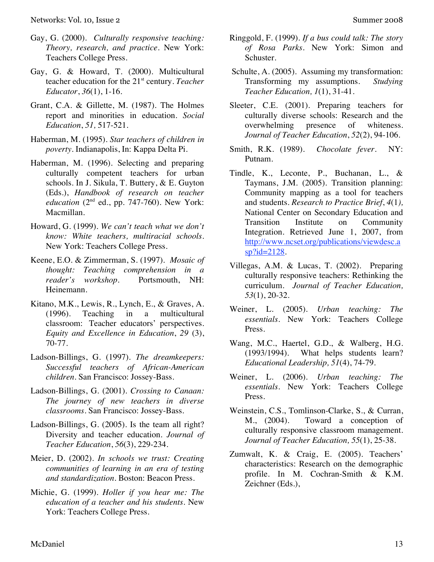- Gay, G. (2000). *Culturally responsive teaching: Theory, research, and practice.* New York: Teachers College Press.
- Gay, G. & Howard, T. (2000). Multicultural teacher education for the 21<sup>st</sup> century. *Teacher Educator*, *36*(1), 1-16.
- Grant, C.A. & Gillette, M. (1987). The Holmes report and minorities in education. *Social Education*, *51,* 517-521.
- Haberman, M. (1995). *Star teachers of children in poverty*. Indianapolis, In: Kappa Delta Pi.
- Haberman, M. (1996). Selecting and preparing culturally competent teachers for urban schools. In J. Sikula, T. Buttery, & E. Guyton (Eds.), *Handbook of research on teacher education* (2<sup>nd</sup> ed., pp. 747-760). New York: Macmillan.
- Howard, G. (1999). *We can't teach what we don't know: White teachers, multiracial schools*. New York: Teachers College Press.
- Keene, E.O. & Zimmerman, S. (1997). *Mosaic of thought: Teaching comprehension in a reader's workshop.* Portsmouth, NH: Heinemann.
- Kitano, M.K., Lewis, R., Lynch, E., & Graves, A. (1996). Teaching in a multicultural classroom: Teacher educators' perspectives. *Equity and Excellence in Education*, *29* (3), 70-77.
- Ladson-Billings, G. (1997). *The dreamkeepers: Successful teachers of African-American children*. San Francisco: Jossey-Bass.
- Ladson-Billings, G. (2001). *Crossing to Canaan: The journey of new teachers in diverse classrooms*. San Francisco: Jossey-Bass.
- Ladson-Billings, G. (2005). Is the team all right? Diversity and teacher education. *Journal of Teacher Education*, *56*(3), 229-234.
- Meier, D. (2002). *In schools we trust: Creating communities of learning in an era of testing and standardization.* Boston: Beacon Press.
- Michie, G. (1999). *Holler if you hear me: The education of a teacher and his students*. New York: Teachers College Press.
- Ringgold, F. (1999). *If a bus could talk: The story of Rosa Parks.* New York: Simon and Schuster.
- Schulte, A. (2005). Assuming my transformation: Transforming my assumptions. *Studying Teacher Education, 1*(1), 31-41.
- Sleeter, C.E. (2001). Preparing teachers for culturally diverse schools: Research and the overwhelming presence of whiteness. *Journal of Teacher Education*, *52*(2), 94-106.
- Smith, R.K. (1989). *Chocolate fever.* NY: Putnam.
- Tindle, K., Leconte, P., Buchanan, L., & Taymans, J.M. (2005). Transition planning: Community mapping as a tool for teachers and students. *Research to Practice Brief*, *4*(1*),*  National Center on Secondary Education and Transition Institute on Community Integration. Retrieved June 1, 2007, from http://www.ncset.org/publications/viewdesc.a  $sp$ ?id=2128.
- Villegas, A.M. & Lucas, T. (2002). Preparing culturally responsive teachers: Rethinking the curriculum. *Journal of Teacher Education, 53*(1), 20-32.
- Weiner, L. (2005). *Urban teaching: The essentials.* New York: Teachers College Press.
- Wang, M.C., Haertel, G.D., & Walberg, H.G. (1993/1994). What helps students learn? *Educational Leadership, 51*(4), 74-79.
- Weiner, L. (2006). *Urban teaching: The essentials*. New York: Teachers College Press.
- Weinstein, C.S., Tomlinson-Clarke, S., & Curran, M., (2004). Toward a conception of culturally responsive classroom management. *Journal of Teacher Education, 55*(1), 25-38.
- Zumwalt, K. & Craig, E. (2005). Teachers' characteristics: Research on the demographic profile. In M. Cochran-Smith & K.M. Zeichner (Eds.),